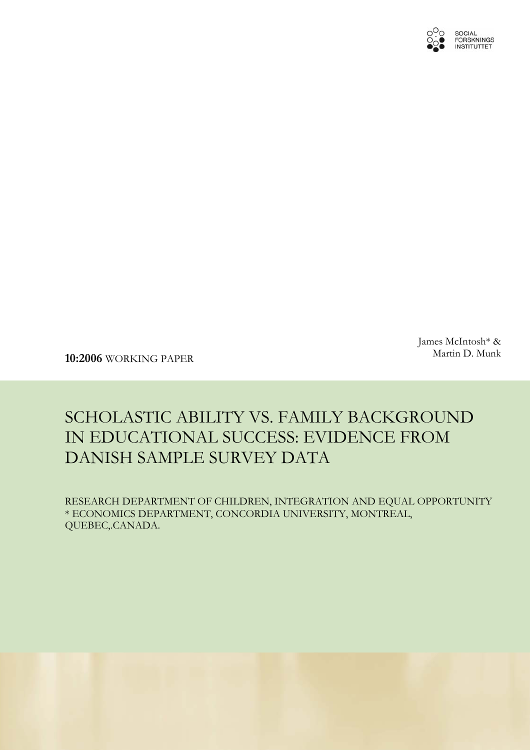

James McIntosh\* &

Martin D. Munk **10:2006** WORKING PAPER

# SCHOLASTIC ABILITY VS. FAMILY BACKGROUND IN EDUCATIONAL SUCCESS: EVIDENCE FROM DANISH SAMPLE SURVEY DATA

RESEARCH DEPARTMENT OF CHILDREN, INTEGRATION AND EQUAL OPPORTUNITY \* ECONOMICS DEPARTMENT, CONCORDIA UNIVERSITY, MONTREAL, QUEBEC,.CANADA.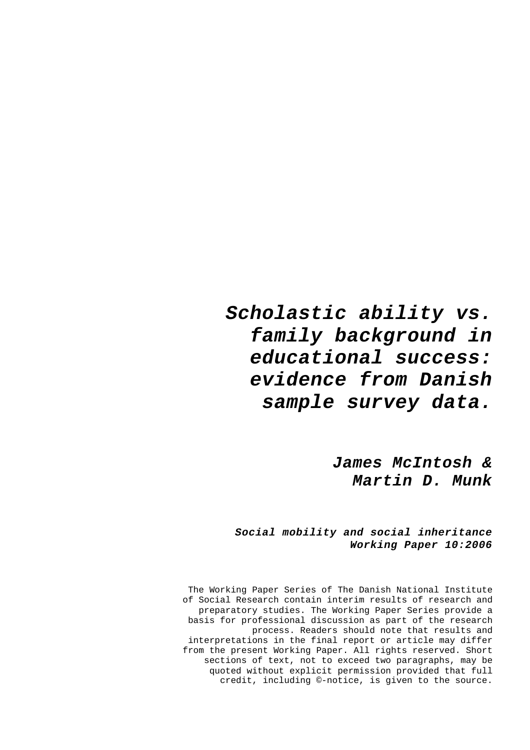# *Scholastic ability vs. family background in educational success: evidence from Danish sample survey data.*

*James McIntosh & Martin D. Munk* 

*Social mobility and social inheritance Working Paper 10:2006* 

The Working Paper Series of The Danish National Institute of Social Research contain interim results of research and preparatory studies. The Working Paper Series provide a basis for professional discussion as part of the research process. Readers should note that results and interpretations in the final report or article may differ from the present Working Paper. All rights reserved. Short sections of text, not to exceed two paragraphs, may be quoted without explicit permission provided that full credit, including ©-notice, is given to the source.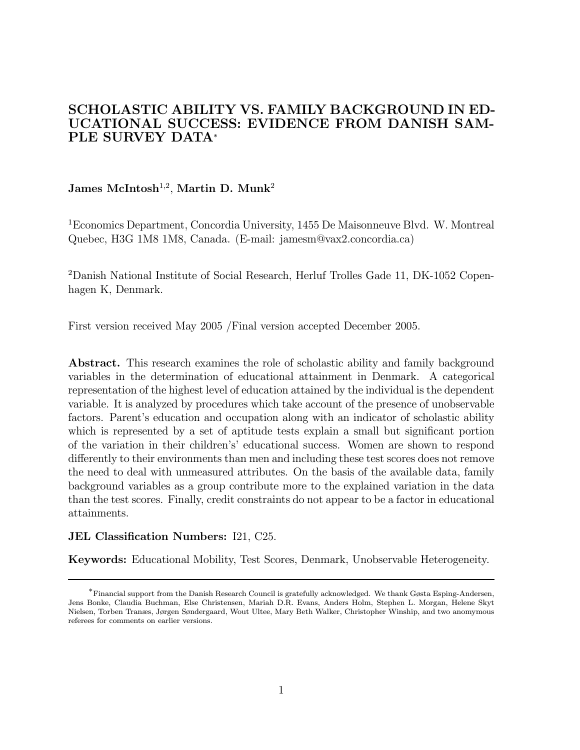### SCHOLASTIC ABILITY VS. FAMILY BACKGROUND IN ED-UCATIONAL SUCCESS: EVIDENCE FROM DANISH SAM-PLE SURVEY DATA<sup>∗</sup>

### James McIntosh<sup>1,2</sup>, Martin D. Munk<sup>2</sup>

<sup>1</sup>Economics Department, Concordia University, 1455 De Maisonneuve Blvd. W. Montreal Quebec, H3G 1M8 1M8, Canada. (E-mail: jamesm@vax2.concordia.ca)

<sup>2</sup>Danish National Institute of Social Research, Herluf Trolles Gade 11, DK-1052 Copenhagen K, Denmark.

First version received May 2005 /Final version accepted December 2005.

Abstract. This research examines the role of scholastic ability and family background variables in the determination of educational attainment in Denmark. A categorical representation of the highest level of education attained by the individual is the dependent variable. It is analyzed by procedures which take account of the presence of unobservable factors. Parent's education and occupation along with an indicator of scholastic ability which is represented by a set of aptitude tests explain a small but significant portion of the variation in their children's' educational success. Women are shown to respond differently to their environments than men and including these test scores does not remove the need to deal with unmeasured attributes. On the basis of the available data, family background variables as a group contribute more to the explained variation in the data than the test scores. Finally, credit constraints do not appear to be a factor in educational attainments.

#### JEL Classification Numbers: I21, C25.

Keywords: Educational Mobility, Test Scores, Denmark, Unobservable Heterogeneity.

<sup>∗</sup>Financial support from the Danish Research Council is gratefully acknowledged. We thank Gøsta Esping-Andersen, Jens Bonke, Claudia Buchman, Else Christensen, Mariah D.R. Evans, Anders Holm, Stephen L. Morgan, Helene Skyt Nielsen, Torben Tranæs, Jørgen Søndergaard, Wout Ultee, Mary Beth Walker, Christopher Winship, and two anomymous referees for comments on earlier versions.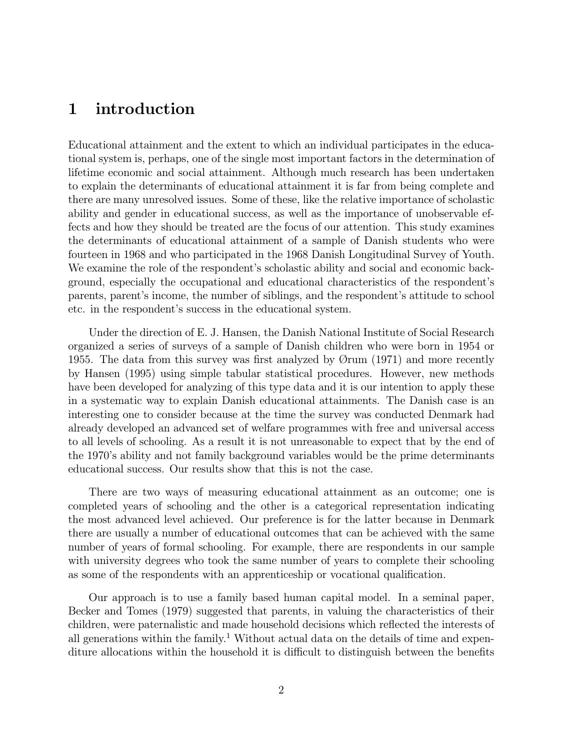# 1 introduction

Educational attainment and the extent to which an individual participates in the educational system is, perhaps, one of the single most important factors in the determination of lifetime economic and social attainment. Although much research has been undertaken to explain the determinants of educational attainment it is far from being complete and there are many unresolved issues. Some of these, like the relative importance of scholastic ability and gender in educational success, as well as the importance of unobservable effects and how they should be treated are the focus of our attention. This study examines the determinants of educational attainment of a sample of Danish students who were fourteen in 1968 and who participated in the 1968 Danish Longitudinal Survey of Youth. We examine the role of the respondent's scholastic ability and social and economic background, especially the occupational and educational characteristics of the respondent's parents, parent's income, the number of siblings, and the respondent's attitude to school etc. in the respondent's success in the educational system.

Under the direction of E. J. Hansen, the Danish National Institute of Social Research organized a series of surveys of a sample of Danish children who were born in 1954 or 1955. The data from this survey was first analyzed by Ørum (1971) and more recently by Hansen (1995) using simple tabular statistical procedures. However, new methods have been developed for analyzing of this type data and it is our intention to apply these in a systematic way to explain Danish educational attainments. The Danish case is an interesting one to consider because at the time the survey was conducted Denmark had already developed an advanced set of welfare programmes with free and universal access to all levels of schooling. As a result it is not unreasonable to expect that by the end of the 1970's ability and not family background variables would be the prime determinants educational success. Our results show that this is not the case.

There are two ways of measuring educational attainment as an outcome; one is completed years of schooling and the other is a categorical representation indicating the most advanced level achieved. Our preference is for the latter because in Denmark there are usually a number of educational outcomes that can be achieved with the same number of years of formal schooling. For example, there are respondents in our sample with university degrees who took the same number of years to complete their schooling as some of the respondents with an apprenticeship or vocational qualification.

Our approach is to use a family based human capital model. In a seminal paper, Becker and Tomes (1979) suggested that parents, in valuing the characteristics of their children, were paternalistic and made household decisions which reflected the interests of all generations within the family.<sup>1</sup> Without actual data on the details of time and expenditure allocations within the household it is difficult to distinguish between the benefits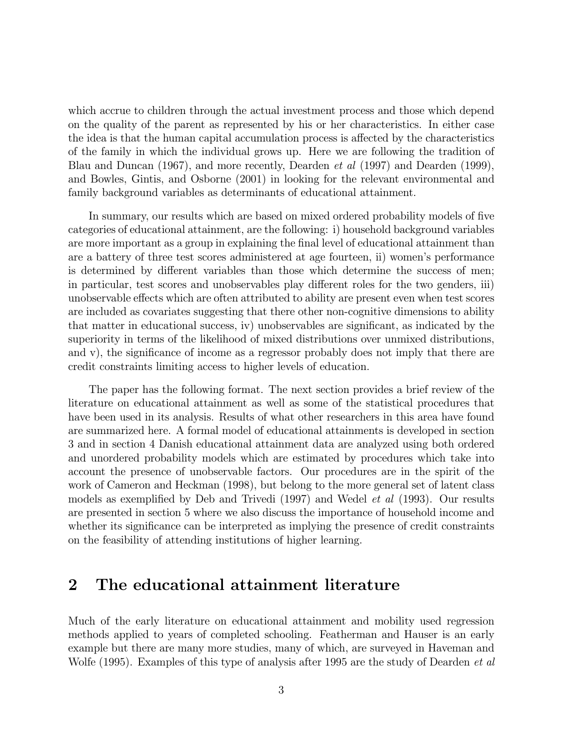which accrue to children through the actual investment process and those which depend on the quality of the parent as represented by his or her characteristics. In either case the idea is that the human capital accumulation process is affected by the characteristics of the family in which the individual grows up. Here we are following the tradition of Blau and Duncan (1967), and more recently, Dearden et al (1997) and Dearden (1999), and Bowles, Gintis, and Osborne (2001) in looking for the relevant environmental and family background variables as determinants of educational attainment.

In summary, our results which are based on mixed ordered probability models of five categories of educational attainment, are the following: i) household background variables are more important as a group in explaining the final level of educational attainment than are a battery of three test scores administered at age fourteen, ii) women's performance is determined by different variables than those which determine the success of men; in particular, test scores and unobservables play different roles for the two genders, iii) unobservable effects which are often attributed to ability are present even when test scores are included as covariates suggesting that there other non-cognitive dimensions to ability that matter in educational success, iv) unobservables are significant, as indicated by the superiority in terms of the likelihood of mixed distributions over unmixed distributions, and v), the significance of income as a regressor probably does not imply that there are credit constraints limiting access to higher levels of education.

The paper has the following format. The next section provides a brief review of the literature on educational attainment as well as some of the statistical procedures that have been used in its analysis. Results of what other researchers in this area have found are summarized here. A formal model of educational attainments is developed in section 3 and in section 4 Danish educational attainment data are analyzed using both ordered and unordered probability models which are estimated by procedures which take into account the presence of unobservable factors. Our procedures are in the spirit of the work of Cameron and Heckman (1998), but belong to the more general set of latent class models as exemplified by Deb and Trivedi (1997) and Wedel et al (1993). Our results are presented in section 5 where we also discuss the importance of household income and whether its significance can be interpreted as implying the presence of credit constraints on the feasibility of attending institutions of higher learning.

## 2 The educational attainment literature

Much of the early literature on educational attainment and mobility used regression methods applied to years of completed schooling. Featherman and Hauser is an early example but there are many more studies, many of which, are surveyed in Haveman and Wolfe (1995). Examples of this type of analysis after 1995 are the study of Dearden *et al*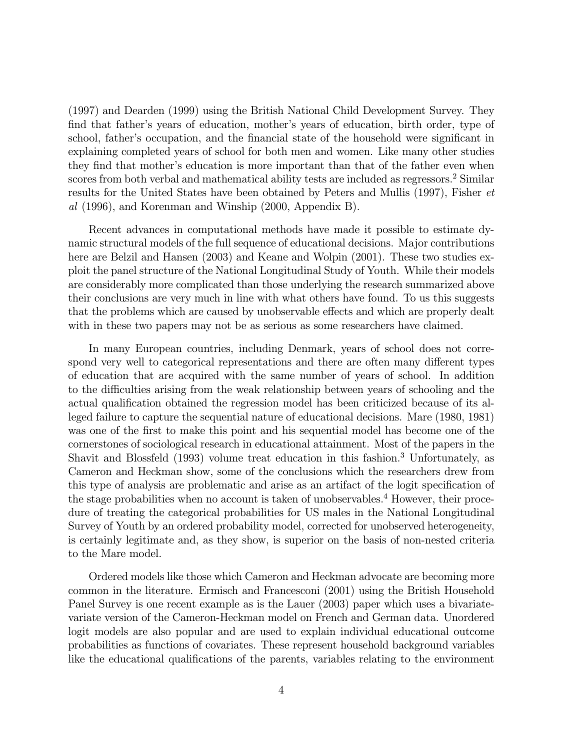(1997) and Dearden (1999) using the British National Child Development Survey. They find that father's years of education, mother's years of education, birth order, type of school, father's occupation, and the financial state of the household were significant in explaining completed years of school for both men and women. Like many other studies they find that mother's education is more important than that of the father even when scores from both verbal and mathematical ability tests are included as regressors.<sup>2</sup> Similar results for the United States have been obtained by Peters and Mullis (1997), Fisher et al (1996), and Korenman and Winship (2000, Appendix B).

Recent advances in computational methods have made it possible to estimate dynamic structural models of the full sequence of educational decisions. Major contributions here are Belzil and Hansen (2003) and Keane and Wolpin (2001). These two studies exploit the panel structure of the National Longitudinal Study of Youth. While their models are considerably more complicated than those underlying the research summarized above their conclusions are very much in line with what others have found. To us this suggests that the problems which are caused by unobservable effects and which are properly dealt with in these two papers may not be as serious as some researchers have claimed.

In many European countries, including Denmark, years of school does not correspond very well to categorical representations and there are often many different types of education that are acquired with the same number of years of school. In addition to the difficulties arising from the weak relationship between years of schooling and the actual qualification obtained the regression model has been criticized because of its alleged failure to capture the sequential nature of educational decisions. Mare (1980, 1981) was one of the first to make this point and his sequential model has become one of the cornerstones of sociological research in educational attainment. Most of the papers in the Shavit and Blossfeld (1993) volume treat education in this fashion.<sup>3</sup> Unfortunately, as Cameron and Heckman show, some of the conclusions which the researchers drew from this type of analysis are problematic and arise as an artifact of the logit specification of the stage probabilities when no account is taken of unobservables.<sup>4</sup> However, their procedure of treating the categorical probabilities for US males in the National Longitudinal Survey of Youth by an ordered probability model, corrected for unobserved heterogeneity, is certainly legitimate and, as they show, is superior on the basis of non-nested criteria to the Mare model.

Ordered models like those which Cameron and Heckman advocate are becoming more common in the literature. Ermisch and Francesconi (2001) using the British Household Panel Survey is one recent example as is the Lauer (2003) paper which uses a bivariatevariate version of the Cameron-Heckman model on French and German data. Unordered logit models are also popular and are used to explain individual educational outcome probabilities as functions of covariates. These represent household background variables like the educational qualifications of the parents, variables relating to the environment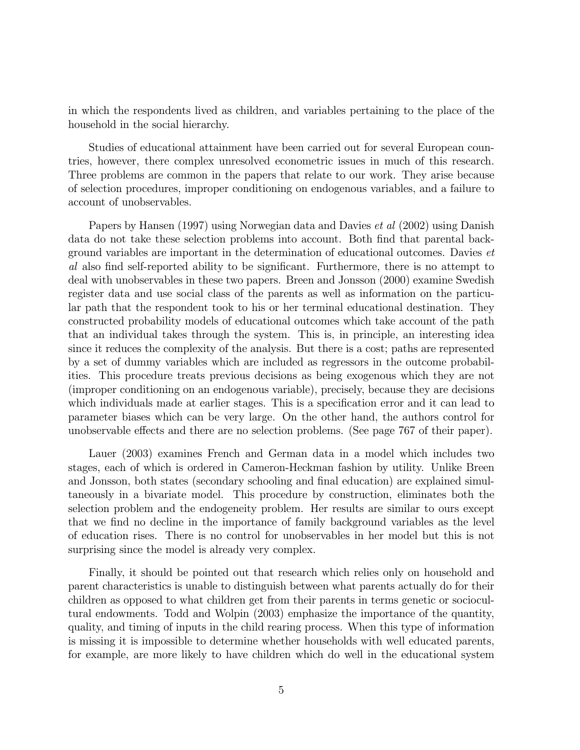in which the respondents lived as children, and variables pertaining to the place of the household in the social hierarchy.

Studies of educational attainment have been carried out for several European countries, however, there complex unresolved econometric issues in much of this research. Three problems are common in the papers that relate to our work. They arise because of selection procedures, improper conditioning on endogenous variables, and a failure to account of unobservables.

Papers by Hansen (1997) using Norwegian data and Davies et al (2002) using Danish data do not take these selection problems into account. Both find that parental background variables are important in the determination of educational outcomes. Davies et al also find self-reported ability to be significant. Furthermore, there is no attempt to deal with unobservables in these two papers. Breen and Jonsson (2000) examine Swedish register data and use social class of the parents as well as information on the particular path that the respondent took to his or her terminal educational destination. They constructed probability models of educational outcomes which take account of the path that an individual takes through the system. This is, in principle, an interesting idea since it reduces the complexity of the analysis. But there is a cost; paths are represented by a set of dummy variables which are included as regressors in the outcome probabilities. This procedure treats previous decisions as being exogenous which they are not (improper conditioning on an endogenous variable), precisely, because they are decisions which individuals made at earlier stages. This is a specification error and it can lead to parameter biases which can be very large. On the other hand, the authors control for unobservable effects and there are no selection problems. (See page 767 of their paper).

Lauer (2003) examines French and German data in a model which includes two stages, each of which is ordered in Cameron-Heckman fashion by utility. Unlike Breen and Jonsson, both states (secondary schooling and final education) are explained simultaneously in a bivariate model. This procedure by construction, eliminates both the selection problem and the endogeneity problem. Her results are similar to ours except that we find no decline in the importance of family background variables as the level of education rises. There is no control for unobservables in her model but this is not surprising since the model is already very complex.

Finally, it should be pointed out that research which relies only on household and parent characteristics is unable to distinguish between what parents actually do for their children as opposed to what children get from their parents in terms genetic or sociocultural endowments. Todd and Wolpin (2003) emphasize the importance of the quantity, quality, and timing of inputs in the child rearing process. When this type of information is missing it is impossible to determine whether households with well educated parents, for example, are more likely to have children which do well in the educational system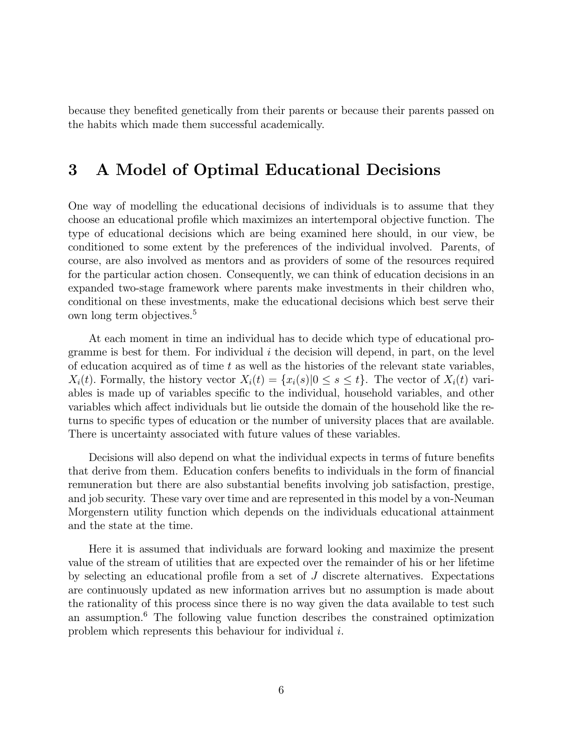because they benefited genetically from their parents or because their parents passed on the habits which made them successful academically.

# 3 A Model of Optimal Educational Decisions

One way of modelling the educational decisions of individuals is to assume that they choose an educational profile which maximizes an intertemporal objective function. The type of educational decisions which are being examined here should, in our view, be conditioned to some extent by the preferences of the individual involved. Parents, of course, are also involved as mentors and as providers of some of the resources required for the particular action chosen. Consequently, we can think of education decisions in an expanded two-stage framework where parents make investments in their children who, conditional on these investments, make the educational decisions which best serve their own long term objectives.<sup>5</sup>

At each moment in time an individual has to decide which type of educational programme is best for them. For individual  $i$  the decision will depend, in part, on the level of education acquired as of time  $t$  as well as the histories of the relevant state variables,  $X_i(t)$ . Formally, the history vector  $X_i(t) = \{x_i(s)|0 \le s \le t\}$ . The vector of  $X_i(t)$  variables is made up of variables specific to the individual, household variables, and other variables which affect individuals but lie outside the domain of the household like the returns to specific types of education or the number of university places that are available. There is uncertainty associated with future values of these variables.

Decisions will also depend on what the individual expects in terms of future benefits that derive from them. Education confers benefits to individuals in the form of financial remuneration but there are also substantial benefits involving job satisfaction, prestige, and job security. These vary over time and are represented in this model by a von-Neuman Morgenstern utility function which depends on the individuals educational attainment and the state at the time.

Here it is assumed that individuals are forward looking and maximize the present value of the stream of utilities that are expected over the remainder of his or her lifetime by selecting an educational profile from a set of J discrete alternatives. Expectations are continuously updated as new information arrives but no assumption is made about the rationality of this process since there is no way given the data available to test such an assumption.<sup>6</sup> The following value function describes the constrained optimization problem which represents this behaviour for individual i.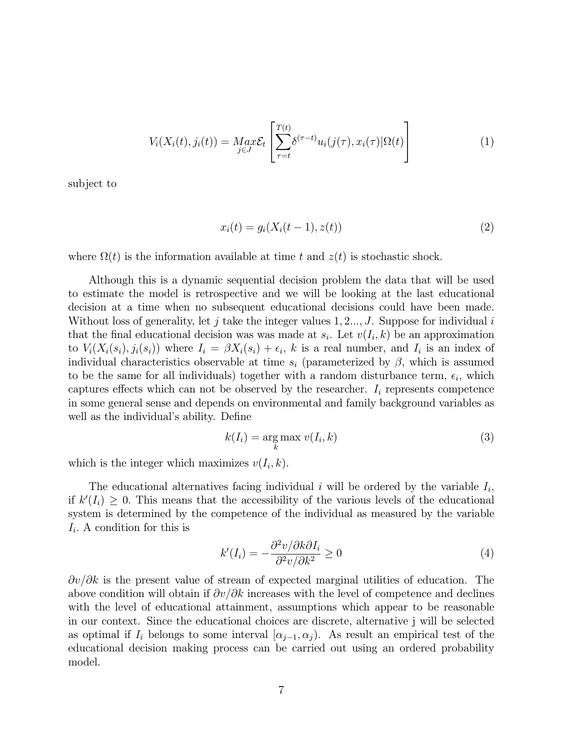$$
V_i(X_i(t), j_i(t)) = \underset{j \in J}{Max} \mathcal{E}_t \left[ \sum_{\tau=t}^{T(t)} \delta^{(\tau-t)} u_i(j(\tau), x_i(\tau) | \Omega(t) \right] \tag{1}
$$

subject to

$$
x_i(t) = g_i(X_i(t-1), z(t))
$$
\n(2)

where  $\Omega(t)$  is the information available at time t and  $z(t)$  is stochastic shock.

Although this is a dynamic sequential decision problem the data that will be used to estimate the model is retrospective and we will be looking at the last educational decision at a time when no subsequent educational decisions could have been made. Without loss of generality, let j take the integer values  $1, 2, ..., J$ . Suppose for individual i that the final educational decision was was made at  $s_i$ . Let  $v(I_i, k)$  be an approximation to  $V_i(X_i(s_i), j_i(s_i))$  where  $I_i = \beta X_i(s_i) + \epsilon_i$ , k is a real number, and  $I_i$  is an index of individual characteristics observable at time  $s_i$  (parameterized by  $\beta$ , which is assumed to be the same for all individuals) together with a random disturbance term,  $\epsilon_i$ , which captures effects which can not be observed by the researcher.  $I_i$  represents competence in some general sense and depends on environmental and family background variables as well as the individual's ability. Define

$$
k(I_i) = \underset{k}{\text{arg max}} \ v(I_i, k) \tag{3}
$$

which is the integer which maximizes  $v(I_i, k)$ .

The educational alternatives facing individual i will be ordered by the variable  $I_i$ , if  $k'(I_i) \geq 0$ . This means that the accessibility of the various levels of the educational system is determined by the competence of the individual as measured by the variable  $I_i$ . A condition for this is

$$
k'(I_i) = -\frac{\partial^2 v/\partial k \partial I_i}{\partial^2 v/\partial k^2} \ge 0
$$
\n<sup>(4)</sup>

 $\partial v/\partial k$  is the present value of stream of expected marginal utilities of education. The above condition will obtain if  $\partial v/\partial k$  increases with the level of competence and declines with the level of educational attainment, assumptions which appear to be reasonable in our context. Since the educational choices are discrete, alternative j will be selected as optimal if  $I_i$  belongs to some interval  $\alpha_{i-1}, \alpha_i$ ). As result an empirical test of the educational decision making process can be carried out using an ordered probability model.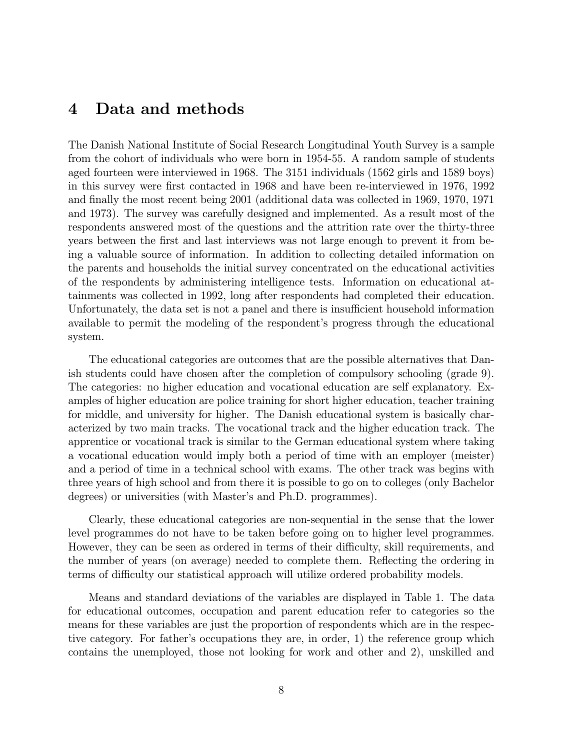# 4 Data and methods

The Danish National Institute of Social Research Longitudinal Youth Survey is a sample from the cohort of individuals who were born in 1954-55. A random sample of students aged fourteen were interviewed in 1968. The 3151 individuals (1562 girls and 1589 boys) in this survey were first contacted in 1968 and have been re-interviewed in 1976, 1992 and finally the most recent being 2001 (additional data was collected in 1969, 1970, 1971 and 1973). The survey was carefully designed and implemented. As a result most of the respondents answered most of the questions and the attrition rate over the thirty-three years between the first and last interviews was not large enough to prevent it from being a valuable source of information. In addition to collecting detailed information on the parents and households the initial survey concentrated on the educational activities of the respondents by administering intelligence tests. Information on educational attainments was collected in 1992, long after respondents had completed their education. Unfortunately, the data set is not a panel and there is insufficient household information available to permit the modeling of the respondent's progress through the educational system.

The educational categories are outcomes that are the possible alternatives that Danish students could have chosen after the completion of compulsory schooling (grade 9). The categories: no higher education and vocational education are self explanatory. Examples of higher education are police training for short higher education, teacher training for middle, and university for higher. The Danish educational system is basically characterized by two main tracks. The vocational track and the higher education track. The apprentice or vocational track is similar to the German educational system where taking a vocational education would imply both a period of time with an employer (meister) and a period of time in a technical school with exams. The other track was begins with three years of high school and from there it is possible to go on to colleges (only Bachelor degrees) or universities (with Master's and Ph.D. programmes).

Clearly, these educational categories are non-sequential in the sense that the lower level programmes do not have to be taken before going on to higher level programmes. However, they can be seen as ordered in terms of their difficulty, skill requirements, and the number of years (on average) needed to complete them. Reflecting the ordering in terms of difficulty our statistical approach will utilize ordered probability models.

Means and standard deviations of the variables are displayed in Table 1. The data for educational outcomes, occupation and parent education refer to categories so the means for these variables are just the proportion of respondents which are in the respective category. For father's occupations they are, in order, 1) the reference group which contains the unemployed, those not looking for work and other and 2), unskilled and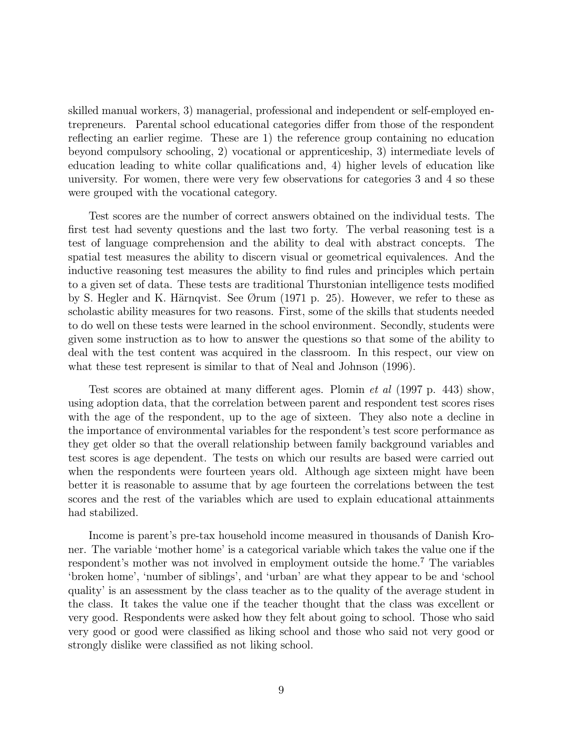skilled manual workers, 3) managerial, professional and independent or self-employed entrepreneurs. Parental school educational categories differ from those of the respondent reflecting an earlier regime. These are 1) the reference group containing no education beyond compulsory schooling, 2) vocational or apprenticeship, 3) intermediate levels of education leading to white collar qualifications and, 4) higher levels of education like university. For women, there were very few observations for categories 3 and 4 so these were grouped with the vocational category.

Test scores are the number of correct answers obtained on the individual tests. The first test had seventy questions and the last two forty. The verbal reasoning test is a test of language comprehension and the ability to deal with abstract concepts. The spatial test measures the ability to discern visual or geometrical equivalences. And the inductive reasoning test measures the ability to find rules and principles which pertain to a given set of data. These tests are traditional Thurstonian intelligence tests modified by S. Hegler and K. Härnqvist. See Ørum (1971 p. 25). However, we refer to these as scholastic ability measures for two reasons. First, some of the skills that students needed to do well on these tests were learned in the school environment. Secondly, students were given some instruction as to how to answer the questions so that some of the ability to deal with the test content was acquired in the classroom. In this respect, our view on what these test represent is similar to that of Neal and Johnson (1996).

Test scores are obtained at many different ages. Plomin et al (1997 p. 443) show, using adoption data, that the correlation between parent and respondent test scores rises with the age of the respondent, up to the age of sixteen. They also note a decline in the importance of environmental variables for the respondent's test score performance as they get older so that the overall relationship between family background variables and test scores is age dependent. The tests on which our results are based were carried out when the respondents were fourteen years old. Although age sixteen might have been better it is reasonable to assume that by age fourteen the correlations between the test scores and the rest of the variables which are used to explain educational attainments had stabilized.

Income is parent's pre-tax household income measured in thousands of Danish Kroner. The variable 'mother home' is a categorical variable which takes the value one if the respondent's mother was not involved in employment outside the home.<sup>7</sup> The variables 'broken home', 'number of siblings', and 'urban' are what they appear to be and 'school quality' is an assessment by the class teacher as to the quality of the average student in the class. It takes the value one if the teacher thought that the class was excellent or very good. Respondents were asked how they felt about going to school. Those who said very good or good were classified as liking school and those who said not very good or strongly dislike were classified as not liking school.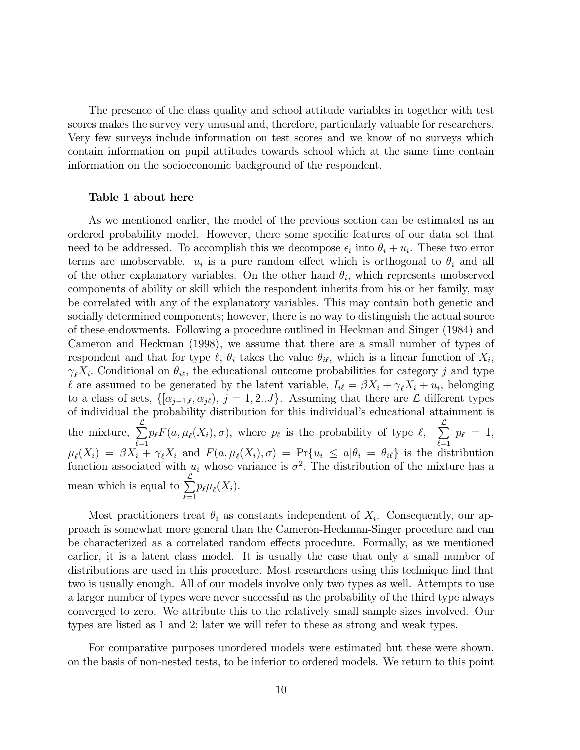The presence of the class quality and school attitude variables in together with test scores makes the survey very unusual and, therefore, particularly valuable for researchers. Very few surveys include information on test scores and we know of no surveys which contain information on pupil attitudes towards school which at the same time contain information on the socioeconomic background of the respondent.

#### Table 1 about here

As we mentioned earlier, the model of the previous section can be estimated as an ordered probability model. However, there some specific features of our data set that need to be addressed. To accomplish this we decompose  $\epsilon_i$  into  $\theta_i + u_i$ . These two error terms are unobservable.  $u_i$  is a pure random effect which is orthogonal to  $\theta_i$  and all of the other explanatory variables. On the other hand  $\theta_i$ , which represents unobserved components of ability or skill which the respondent inherits from his or her family, may be correlated with any of the explanatory variables. This may contain both genetic and socially determined components; however, there is no way to distinguish the actual source of these endowments. Following a procedure outlined in Heckman and Singer (1984) and Cameron and Heckman (1998), we assume that there are a small number of types of respondent and that for type  $\ell$ ,  $\theta_i$  takes the value  $\theta_{i\ell}$ , which is a linear function of  $X_i$ ,  $\gamma_{\ell}X_i$ . Conditional on  $\theta_{i\ell}$ , the educational outcome probabilities for category j and type l are assumed to be generated by the latent variable,  $I_{i\ell} = \beta X_i + \gamma_\ell X_i + u_i$ , belonging to a class of sets,  $\{[\alpha_{j-1,\ell}, \alpha_{j\ell}), j = 1, 2...J\}$ . Assuming that there are  $\mathcal L$  different types of individual the probability distribution for this individual's educational attainment is the mixture,  $\sum_{i=1}^{L} p_{\ell} F(a, \mu_{\ell}(X_i), \sigma)$ , where  $p_{\ell}$  is the probability of type  $\ell$ ,  $\sum_{i=1}^{L} p_{\ell} = 1$ ,  $\ell=1$   $\ell=1$  $\mu_{\ell}(X_i) = \beta X_i + \gamma_{\ell} X_i$  and  $F(a, \mu_{\ell}(X_i), \sigma) = \Pr\{u_i \leq a | \theta_i = \theta_{i\ell}\}\$  is the distribution function associated with  $u_i$  whose variance is  $\sigma^2$ . The distribution of the mixture has a mean which is equal to  $\sum_{n=1}^{\infty}$  $\sum_{\ell=1} p_{\ell} \mu_{\ell}(X_i).$ 

Most practitioners treat  $\theta_i$  as constants independent of  $X_i$ . Consequently, our approach is somewhat more general than the Cameron-Heckman-Singer procedure and can be characterized as a correlated random effects procedure. Formally, as we mentioned earlier, it is a latent class model. It is usually the case that only a small number of distributions are used in this procedure. Most researchers using this technique find that two is usually enough. All of our models involve only two types as well. Attempts to use a larger number of types were never successful as the probability of the third type always converged to zero. We attribute this to the relatively small sample sizes involved. Our types are listed as 1 and 2; later we will refer to these as strong and weak types.

For comparative purposes unordered models were estimated but these were shown, on the basis of non-nested tests, to be inferior to ordered models. We return to this point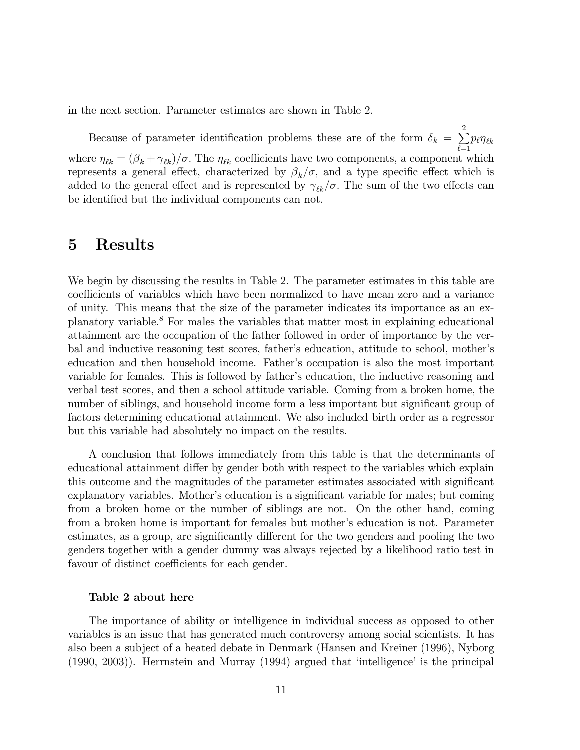in the next section. Parameter estimates are shown in Table 2.

Because of parameter identification problems these are of the form  $\delta_k = \sum^2$  $\sum_{\ell=1} p_{\ell} \eta_{\ell k}$ where  $\eta_{\ell k} = (\beta_k + \gamma_{\ell k})/\sigma$ . The  $\eta_{\ell k}$  coefficients have two components, a component which represents a general effect, characterized by  $\beta_k/\sigma$ , and a type specific effect which is added to the general effect and is represented by  $\gamma_{\ell k}/\sigma$ . The sum of the two effects can be identified but the individual components can not.

## 5 Results

We begin by discussing the results in Table 2. The parameter estimates in this table are coefficients of variables which have been normalized to have mean zero and a variance of unity. This means that the size of the parameter indicates its importance as an explanatory variable.<sup>8</sup> For males the variables that matter most in explaining educational attainment are the occupation of the father followed in order of importance by the verbal and inductive reasoning test scores, father's education, attitude to school, mother's education and then household income. Father's occupation is also the most important variable for females. This is followed by father's education, the inductive reasoning and verbal test scores, and then a school attitude variable. Coming from a broken home, the number of siblings, and household income form a less important but significant group of factors determining educational attainment. We also included birth order as a regressor but this variable had absolutely no impact on the results.

A conclusion that follows immediately from this table is that the determinants of educational attainment differ by gender both with respect to the variables which explain this outcome and the magnitudes of the parameter estimates associated with significant explanatory variables. Mother's education is a significant variable for males; but coming from a broken home or the number of siblings are not. On the other hand, coming from a broken home is important for females but mother's education is not. Parameter estimates, as a group, are significantly different for the two genders and pooling the two genders together with a gender dummy was always rejected by a likelihood ratio test in favour of distinct coefficients for each gender.

#### Table 2 about here

The importance of ability or intelligence in individual success as opposed to other variables is an issue that has generated much controversy among social scientists. It has also been a subject of a heated debate in Denmark (Hansen and Kreiner (1996), Nyborg (1990, 2003)). Herrnstein and Murray (1994) argued that 'intelligence' is the principal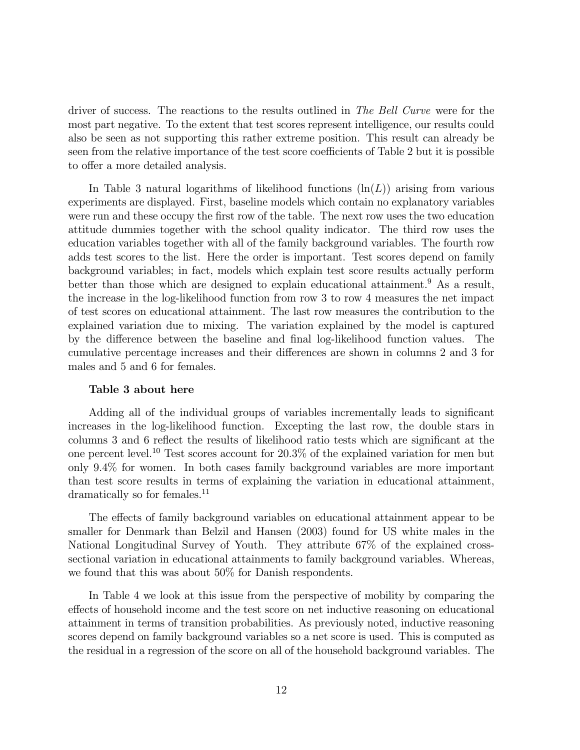driver of success. The reactions to the results outlined in The Bell Curve were for the most part negative. To the extent that test scores represent intelligence, our results could also be seen as not supporting this rather extreme position. This result can already be seen from the relative importance of the test score coefficients of Table 2 but it is possible to offer a more detailed analysis.

In Table 3 natural logarithms of likelihood functions  $(\ln(L))$  arising from various experiments are displayed. First, baseline models which contain no explanatory variables were run and these occupy the first row of the table. The next row uses the two education attitude dummies together with the school quality indicator. The third row uses the education variables together with all of the family background variables. The fourth row adds test scores to the list. Here the order is important. Test scores depend on family background variables; in fact, models which explain test score results actually perform better than those which are designed to explain educational attainment.<sup>9</sup> As a result, the increase in the log-likelihood function from row 3 to row 4 measures the net impact of test scores on educational attainment. The last row measures the contribution to the explained variation due to mixing. The variation explained by the model is captured by the difference between the baseline and final log-likelihood function values. The cumulative percentage increases and their differences are shown in columns 2 and 3 for males and 5 and 6 for females.

#### Table 3 about here

Adding all of the individual groups of variables incrementally leads to significant increases in the log-likelihood function. Excepting the last row, the double stars in columns 3 and 6 reflect the results of likelihood ratio tests which are significant at the one percent level.<sup>10</sup> Test scores account for 20.3% of the explained variation for men but only 9.4% for women. In both cases family background variables are more important than test score results in terms of explaining the variation in educational attainment, dramatically so for females.<sup>11</sup>

The effects of family background variables on educational attainment appear to be smaller for Denmark than Belzil and Hansen (2003) found for US white males in the National Longitudinal Survey of Youth. They attribute 67% of the explained crosssectional variation in educational attainments to family background variables. Whereas, we found that this was about 50% for Danish respondents.

In Table 4 we look at this issue from the perspective of mobility by comparing the effects of household income and the test score on net inductive reasoning on educational attainment in terms of transition probabilities. As previously noted, inductive reasoning scores depend on family background variables so a net score is used. This is computed as the residual in a regression of the score on all of the household background variables. The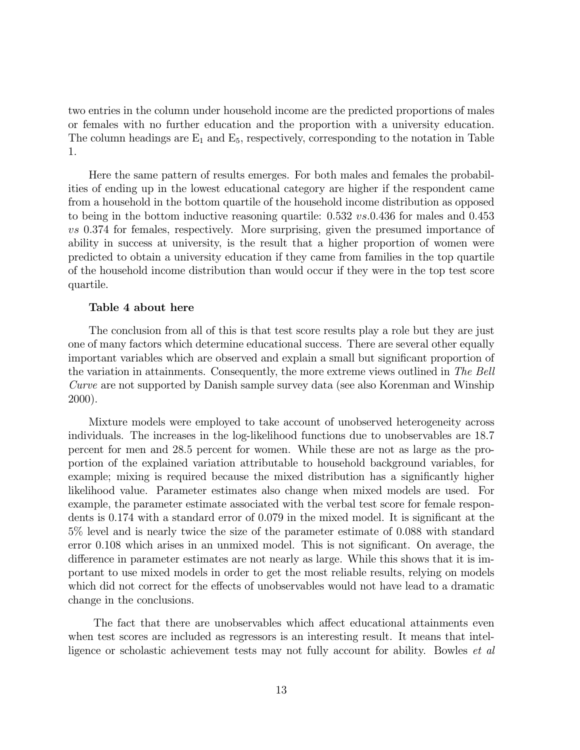two entries in the column under household income are the predicted proportions of males or females with no further education and the proportion with a university education. The column headings are  $E_1$  and  $E_5$ , respectively, corresponding to the notation in Table 1.

Here the same pattern of results emerges. For both males and females the probabilities of ending up in the lowest educational category are higher if the respondent came from a household in the bottom quartile of the household income distribution as opposed to being in the bottom inductive reasoning quartile: 0.532 vs.0.436 for males and 0.453 vs 0.374 for females, respectively. More surprising, given the presumed importance of ability in success at university, is the result that a higher proportion of women were predicted to obtain a university education if they came from families in the top quartile of the household income distribution than would occur if they were in the top test score quartile.

#### Table 4 about here

The conclusion from all of this is that test score results play a role but they are just one of many factors which determine educational success. There are several other equally important variables which are observed and explain a small but significant proportion of the variation in attainments. Consequently, the more extreme views outlined in The Bell Curve are not supported by Danish sample survey data (see also Korenman and Winship 2000).

Mixture models were employed to take account of unobserved heterogeneity across individuals. The increases in the log-likelihood functions due to unobservables are 18.7 percent for men and 28.5 percent for women. While these are not as large as the proportion of the explained variation attributable to household background variables, for example; mixing is required because the mixed distribution has a significantly higher likelihood value. Parameter estimates also change when mixed models are used. For example, the parameter estimate associated with the verbal test score for female respondents is 0.174 with a standard error of 0.079 in the mixed model. It is significant at the 5% level and is nearly twice the size of the parameter estimate of 0.088 with standard error 0.108 which arises in an unmixed model. This is not significant. On average, the difference in parameter estimates are not nearly as large. While this shows that it is important to use mixed models in order to get the most reliable results, relying on models which did not correct for the effects of unobservables would not have lead to a dramatic change in the conclusions.

The fact that there are unobservables which affect educational attainments even when test scores are included as regressors is an interesting result. It means that intelligence or scholastic achievement tests may not fully account for ability. Bowles *et al*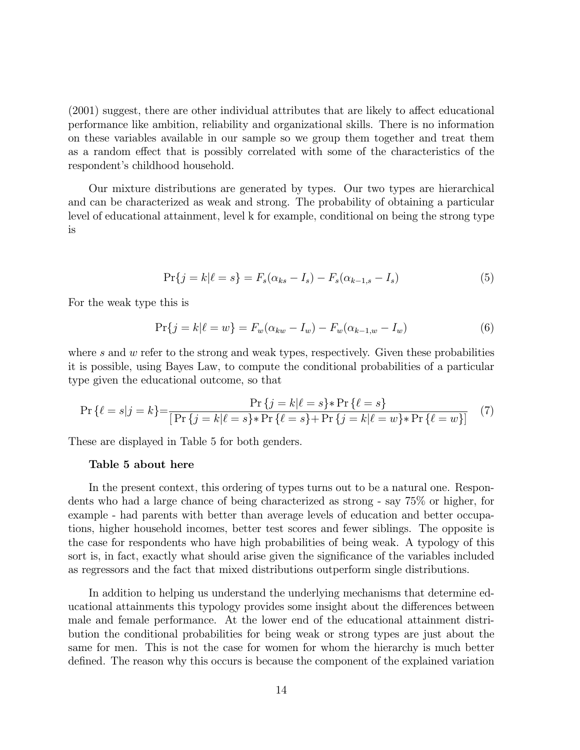(2001) suggest, there are other individual attributes that are likely to affect educational performance like ambition, reliability and organizational skills. There is no information on these variables available in our sample so we group them together and treat them as a random effect that is possibly correlated with some of the characteristics of the respondent's childhood household.

Our mixture distributions are generated by types. Our two types are hierarchical and can be characterized as weak and strong. The probability of obtaining a particular level of educational attainment, level k for example, conditional on being the strong type is

$$
\Pr\{j = k | \ell = s\} = F_s(\alpha_{ks} - I_s) - F_s(\alpha_{k-1,s} - I_s)
$$
\n(5)

For the weak type this is

$$
\Pr\{j = k | \ell = w\} = F_w(\alpha_{kw} - I_w) - F_w(\alpha_{k-1,w} - I_w)
$$
(6)

where  $s$  and  $w$  refer to the strong and weak types, respectively. Given these probabilities it is possible, using Bayes Law, to compute the conditional probabilities of a particular type given the educational outcome, so that

$$
\Pr\{\ell = s|j = k\} = \frac{\Pr\{j = k|\ell = s\} * \Pr\{\ell = s\}}{\left[\Pr\{j = k|\ell = s\} * \Pr\{\ell = s\} + \Pr\{j = k|\ell = w\} * \Pr\{\ell = w\}\right]} \tag{7}
$$

These are displayed in Table 5 for both genders.

#### Table 5 about here

In the present context, this ordering of types turns out to be a natural one. Respondents who had a large chance of being characterized as strong - say 75% or higher, for example - had parents with better than average levels of education and better occupations, higher household incomes, better test scores and fewer siblings. The opposite is the case for respondents who have high probabilities of being weak. A typology of this sort is, in fact, exactly what should arise given the significance of the variables included as regressors and the fact that mixed distributions outperform single distributions.

In addition to helping us understand the underlying mechanisms that determine educational attainments this typology provides some insight about the differences between male and female performance. At the lower end of the educational attainment distribution the conditional probabilities for being weak or strong types are just about the same for men. This is not the case for women for whom the hierarchy is much better defined. The reason why this occurs is because the component of the explained variation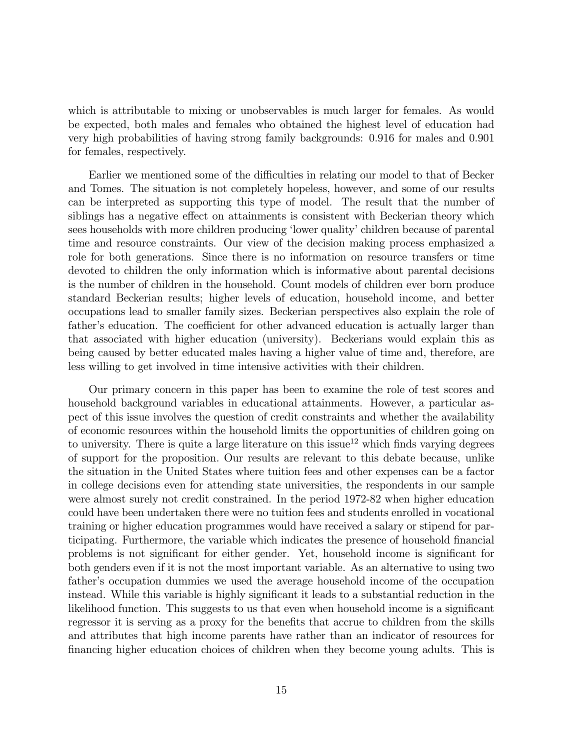which is attributable to mixing or unobservables is much larger for females. As would be expected, both males and females who obtained the highest level of education had very high probabilities of having strong family backgrounds: 0.916 for males and 0.901 for females, respectively.

Earlier we mentioned some of the difficulties in relating our model to that of Becker and Tomes. The situation is not completely hopeless, however, and some of our results can be interpreted as supporting this type of model. The result that the number of siblings has a negative effect on attainments is consistent with Beckerian theory which sees households with more children producing 'lower quality' children because of parental time and resource constraints. Our view of the decision making process emphasized a role for both generations. Since there is no information on resource transfers or time devoted to children the only information which is informative about parental decisions is the number of children in the household. Count models of children ever born produce standard Beckerian results; higher levels of education, household income, and better occupations lead to smaller family sizes. Beckerian perspectives also explain the role of father's education. The coefficient for other advanced education is actually larger than that associated with higher education (university). Beckerians would explain this as being caused by better educated males having a higher value of time and, therefore, are less willing to get involved in time intensive activities with their children.

Our primary concern in this paper has been to examine the role of test scores and household background variables in educational attainments. However, a particular aspect of this issue involves the question of credit constraints and whether the availability of economic resources within the household limits the opportunities of children going on to university. There is quite a large literature on this issue<sup>12</sup> which finds varying degrees of support for the proposition. Our results are relevant to this debate because, unlike the situation in the United States where tuition fees and other expenses can be a factor in college decisions even for attending state universities, the respondents in our sample were almost surely not credit constrained. In the period 1972-82 when higher education could have been undertaken there were no tuition fees and students enrolled in vocational training or higher education programmes would have received a salary or stipend for participating. Furthermore, the variable which indicates the presence of household financial problems is not significant for either gender. Yet, household income is significant for both genders even if it is not the most important variable. As an alternative to using two father's occupation dummies we used the average household income of the occupation instead. While this variable is highly significant it leads to a substantial reduction in the likelihood function. This suggests to us that even when household income is a significant regressor it is serving as a proxy for the benefits that accrue to children from the skills and attributes that high income parents have rather than an indicator of resources for financing higher education choices of children when they become young adults. This is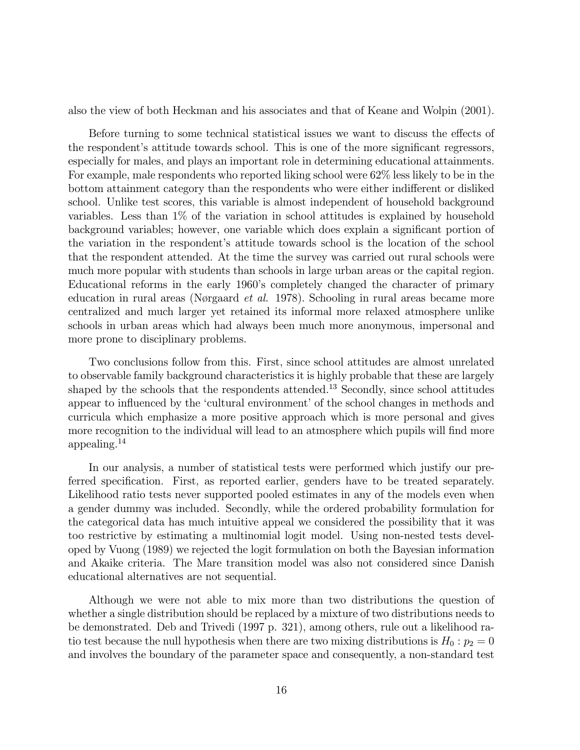also the view of both Heckman and his associates and that of Keane and Wolpin (2001).

Before turning to some technical statistical issues we want to discuss the effects of the respondent's attitude towards school. This is one of the more significant regressors, especially for males, and plays an important role in determining educational attainments. For example, male respondents who reported liking school were 62% less likely to be in the bottom attainment category than the respondents who were either indifferent or disliked school. Unlike test scores, this variable is almost independent of household background variables. Less than 1% of the variation in school attitudes is explained by household background variables; however, one variable which does explain a significant portion of the variation in the respondent's attitude towards school is the location of the school that the respondent attended. At the time the survey was carried out rural schools were much more popular with students than schools in large urban areas or the capital region. Educational reforms in the early 1960's completely changed the character of primary education in rural areas (Nørgaard et al. 1978). Schooling in rural areas became more centralized and much larger yet retained its informal more relaxed atmosphere unlike schools in urban areas which had always been much more anonymous, impersonal and more prone to disciplinary problems.

Two conclusions follow from this. First, since school attitudes are almost unrelated to observable family background characteristics it is highly probable that these are largely shaped by the schools that the respondents attended.<sup>13</sup> Secondly, since school attitudes appear to influenced by the 'cultural environment' of the school changes in methods and curricula which emphasize a more positive approach which is more personal and gives more recognition to the individual will lead to an atmosphere which pupils will find more appealing.<sup>14</sup>

In our analysis, a number of statistical tests were performed which justify our preferred specification. First, as reported earlier, genders have to be treated separately. Likelihood ratio tests never supported pooled estimates in any of the models even when a gender dummy was included. Secondly, while the ordered probability formulation for the categorical data has much intuitive appeal we considered the possibility that it was too restrictive by estimating a multinomial logit model. Using non-nested tests developed by Vuong (1989) we rejected the logit formulation on both the Bayesian information and Akaike criteria. The Mare transition model was also not considered since Danish educational alternatives are not sequential.

Although we were not able to mix more than two distributions the question of whether a single distribution should be replaced by a mixture of two distributions needs to be demonstrated. Deb and Trivedi (1997 p. 321), among others, rule out a likelihood ratio test because the null hypothesis when there are two mixing distributions is  $H_0: p_2 = 0$ and involves the boundary of the parameter space and consequently, a non-standard test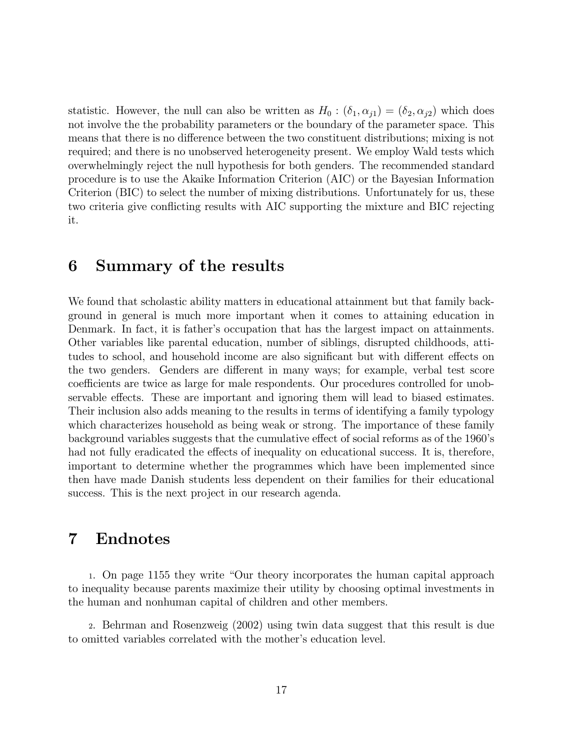statistic. However, the null can also be written as  $H_0$ :  $(\delta_1, \alpha_{j1})=(\delta_2, \alpha_{j2})$  which does not involve the the probability parameters or the boundary of the parameter space. This means that there is no difference between the two constituent distributions; mixing is not required; and there is no unobserved heterogeneity present. We employ Wald tests which overwhelmingly reject the null hypothesis for both genders. The recommended standard procedure is to use the Akaike Information Criterion (AIC) or the Bayesian Information Criterion (BIC) to select the number of mixing distributions. Unfortunately for us, these two criteria give conflicting results with AIC supporting the mixture and BIC rejecting it.

# 6 Summary of the results

We found that scholastic ability matters in educational attainment but that family background in general is much more important when it comes to attaining education in Denmark. In fact, it is father's occupation that has the largest impact on attainments. Other variables like parental education, number of siblings, disrupted childhoods, attitudes to school, and household income are also significant but with different effects on the two genders. Genders are different in many ways; for example, verbal test score coefficients are twice as large for male respondents. Our procedures controlled for unobservable effects. These are important and ignoring them will lead to biased estimates. Their inclusion also adds meaning to the results in terms of identifying a family typology which characterizes household as being weak or strong. The importance of these family background variables suggests that the cumulative effect of social reforms as of the 1960's had not fully eradicated the effects of inequality on educational success. It is, therefore, important to determine whether the programmes which have been implemented since then have made Danish students less dependent on their families for their educational success. This is the next project in our research agenda.

# 7 Endnotes

<sup>1</sup>. On page 1155 they write "Our theory incorporates the human capital approach to inequality because parents maximize their utility by choosing optimal investments in the human and nonhuman capital of children and other members.

<sup>2</sup>. Behrman and Rosenzweig (2002) using twin data suggest that this result is due to omitted variables correlated with the mother's education level.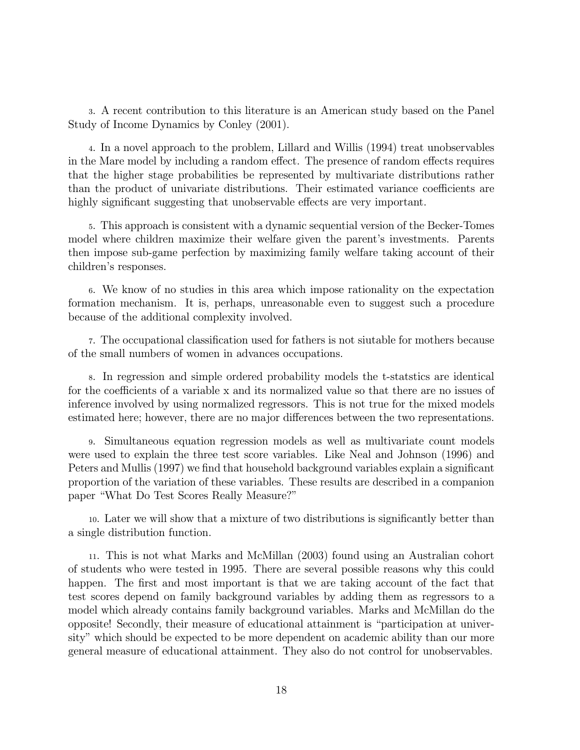<sup>3</sup>. A recent contribution to this literature is an American study based on the Panel Study of Income Dynamics by Conley (2001).

<sup>4</sup>. In a novel approach to the problem, Lillard and Willis (1994) treat unobservables in the Mare model by including a random effect. The presence of random effects requires that the higher stage probabilities be represented by multivariate distributions rather than the product of univariate distributions. Their estimated variance coefficients are highly significant suggesting that unobservable effects are very important.

<sup>5</sup>. This approach is consistent with a dynamic sequential version of the Becker-Tomes model where children maximize their welfare given the parent's investments. Parents then impose sub-game perfection by maximizing family welfare taking account of their children's responses.

<sup>6</sup>. We know of no studies in this area which impose rationality on the expectation formation mechanism. It is, perhaps, unreasonable even to suggest such a procedure because of the additional complexity involved.

<sup>7</sup>. The occupational classification used for fathers is not siutable for mothers because of the small numbers of women in advances occupations.

<sup>8</sup>. In regression and simple ordered probability models the t-statstics are identical for the coefficients of a variable x and its normalized value so that there are no issues of inference involved by using normalized regressors. This is not true for the mixed models estimated here; however, there are no major differences between the two representations.

<sup>9</sup>. Simultaneous equation regression models as well as multivariate count models were used to explain the three test score variables. Like Neal and Johnson (1996) and Peters and Mullis (1997) we find that household background variables explain a significant proportion of the variation of these variables. These results are described in a companion paper "What Do Test Scores Really Measure?"

<sup>10</sup>. Later we will show that a mixture of two distributions is significantly better than a single distribution function.

<sup>11</sup>. This is not what Marks and McMillan (2003) found using an Australian cohort of students who were tested in 1995. There are several possible reasons why this could happen. The first and most important is that we are taking account of the fact that test scores depend on family background variables by adding them as regressors to a model which already contains family background variables. Marks and McMillan do the opposite! Secondly, their measure of educational attainment is "participation at university" which should be expected to be more dependent on academic ability than our more general measure of educational attainment. They also do not control for unobservables.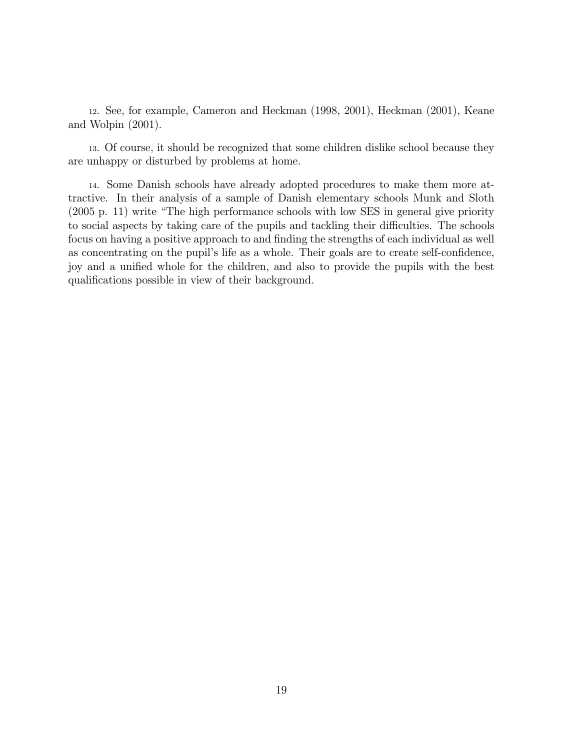<sup>12</sup>. See, for example, Cameron and Heckman (1998, 2001), Heckman (2001), Keane and Wolpin (2001).

<sup>13</sup>. Of course, it should be recognized that some children dislike school because they are unhappy or disturbed by problems at home.

14. Some Danish schools have already adopted procedures to make them more attractive. In their analysis of a sample of Danish elementary schools Munk and Sloth (2005 p. 11) write "The high performance schools with low SES in general give priority to social aspects by taking care of the pupils and tackling their difficulties. The schools focus on having a positive approach to and finding the strengths of each individual as well as concentrating on the pupil's life as a whole. Their goals are to create self-confidence, joy and a unified whole for the children, and also to provide the pupils with the best qualifications possible in view of their background.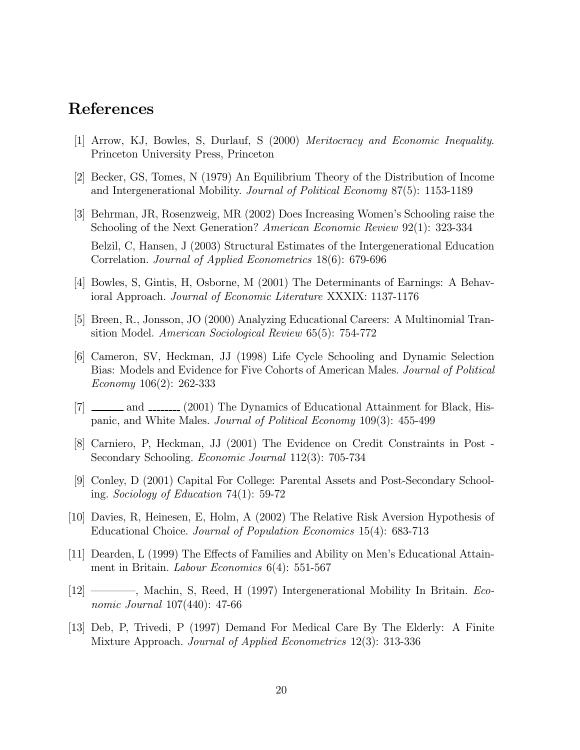## References

- [1] Arrow, KJ, Bowles, S, Durlauf, S (2000) Meritocracy and Economic Inequality. Princeton University Press, Princeton
- [2] Becker, GS, Tomes, N (1979) An Equilibrium Theory of the Distribution of Income and Intergenerational Mobility. Journal of Political Economy 87(5): 1153-1189
- [3] Behrman, JR, Rosenzweig, MR (2002) Does Increasing Women's Schooling raise the Schooling of the Next Generation? American Economic Review 92(1): 323-334 Belzil, C, Hansen, J (2003) Structural Estimates of the Intergenerational Education Correlation. Journal of Applied Econometrics 18(6): 679-696
- [4] Bowles, S, Gintis, H, Osborne, M (2001) The Determinants of Earnings: A Behavioral Approach. Journal of Economic Literature XXXIX: 1137-1176
- [5] Breen, R., Jonsson, JO (2000) Analyzing Educational Careers: A Multinomial Transition Model. American Sociological Review 65(5): 754-772
- [6] Cameron, SV, Heckman, JJ (1998) Life Cycle Schooling and Dynamic Selection Bias: Models and Evidence for Five Cohorts of American Males. Journal of Political Economy 106(2): 262-333
- $[7]$   $\ldots$  and  $\ldots$  (2001) The Dynamics of Educational Attainment for Black, Hispanic, and White Males. Journal of Political Economy 109(3): 455-499
- [8] Carniero, P, Heckman, JJ (2001) The Evidence on Credit Constraints in Post Secondary Schooling. Economic Journal 112(3): 705-734
- [9] Conley, D (2001) Capital For College: Parental Assets and Post-Secondary Schooling. Sociology of Education 74(1): 59-72
- [10] Davies, R, Heinesen, E, Holm, A (2002) The Relative Risk Aversion Hypothesis of Educational Choice. Journal of Population Economics 15(4): 683-713
- [11] Dearden, L (1999) The Effects of Families and Ability on Men's Educational Attainment in Britain. *Labour Economics* 6(4): 551-567
- [12] ––––, Machin, S, Reed, H (1997) Intergenerational Mobility In Britain. Economic Journal 107(440): 47-66
- [13] Deb, P, Trivedi, P (1997) Demand For Medical Care By The Elderly: A Finite Mixture Approach. Journal of Applied Econometrics 12(3): 313-336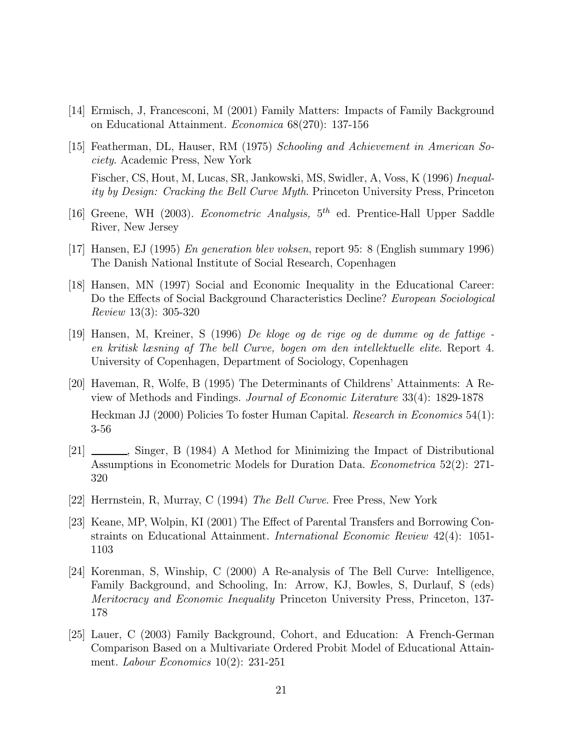- [14] Ermisch, J, Francesconi, M (2001) Family Matters: Impacts of Family Background on Educational Attainment. Economica 68(270): 137-156
- [15] Featherman, DL, Hauser, RM (1975) Schooling and Achievement in American Society. Academic Press, New York Fischer, CS, Hout, M, Lucas, SR, Jankowski, MS, Swidler, A, Voss, K (1996) Inequality by Design: Cracking the Bell Curve Myth. Princeton University Press, Princeton
- [16] Greene, WH (2003). *Econometric Analysis*,  $5<sup>th</sup>$  ed. Prentice-Hall Upper Saddle River, New Jersey
- [17] Hansen, EJ (1995) En generation blev voksen, report 95: 8 (English summary 1996) The Danish National Institute of Social Research, Copenhagen
- [18] Hansen, MN (1997) Social and Economic Inequality in the Educational Career: Do the Effects of Social Background Characteristics Decline? European Sociological Review 13(3): 305-320
- [19] Hansen, M, Kreiner, S (1996) De kloge og de rige og de dumme og de fattige en kritisk læsning af The bell Curve, bogen om den intellektuelle elite. Report 4. University of Copenhagen, Department of Sociology, Copenhagen
- [20] Haveman, R, Wolfe, B (1995) The Determinants of Childrens' Attainments: A Review of Methods and Findings. Journal of Economic Literature 33(4): 1829-1878 Heckman JJ (2000) Policies To foster Human Capital. Research in Economics 54(1): 3-56
- $[21]$   $\ldots$ , Singer, B (1984) A Method for Minimizing the Impact of Distributional Assumptions in Econometric Models for Duration Data. Econometrica 52(2): 271- 320
- [22] Herrnstein, R, Murray, C (1994) The Bell Curve. Free Press, New York
- [23] Keane, MP, Wolpin, KI (2001) The Effect of Parental Transfers and Borrowing Constraints on Educational Attainment. International Economic Review 42(4): 1051- 1103
- [24] Korenman, S, Winship, C (2000) A Re-analysis of The Bell Curve: Intelligence, Family Background, and Schooling, In: Arrow, KJ, Bowles, S, Durlauf, S (eds) Meritocracy and Economic Inequality Princeton University Press, Princeton, 137- 178
- [25] Lauer, C (2003) Family Background, Cohort, and Education: A French-German Comparison Based on a Multivariate Ordered Probit Model of Educational Attainment. Labour Economics 10(2): 231-251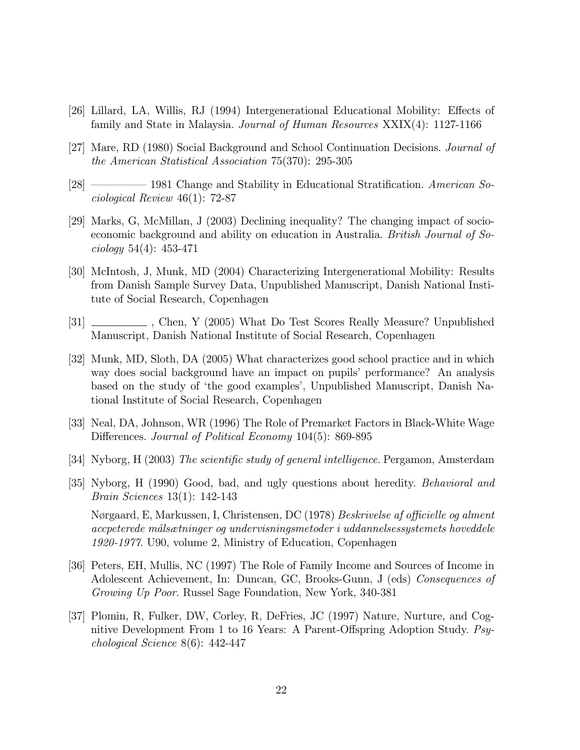- [26] Lillard, LA, Willis, RJ (1994) Intergenerational Educational Mobility: Effects of family and State in Malaysia. Journal of Human Resources XXIX(4): 1127-1166
- [27] Mare, RD (1980) Social Background and School Continuation Decisions. Journal of the American Statistical Association 75(370): 295-305
- [28] –––––––– 1981 Change and Stability in Educational Stratification. American Sociological Review 46(1): 72-87
- [29] Marks, G, McMillan, J (2003) Declining inequality? The changing impact of socioeconomic background and ability on education in Australia. British Journal of Sociology 54(4): 453-471
- [30] McIntosh, J, Munk, MD (2004) Characterizing Intergenerational Mobility: Results from Danish Sample Survey Data, Unpublished Manuscript, Danish National Institute of Social Research, Copenhagen
- [31] \_\_\_\_\_\_\_\_\_\_\_, Chen, Y (2005) What Do Test Scores Really Measure? Unpublished Manuscript, Danish National Institute of Social Research, Copenhagen
- [32] Munk, MD, Sloth, DA (2005) What characterizes good school practice and in which way does social background have an impact on pupils' performance? An analysis based on the study of 'the good examples', Unpublished Manuscript, Danish National Institute of Social Research, Copenhagen
- [33] Neal, DA, Johnson, WR (1996) The Role of Premarket Factors in Black-White Wage Differences. Journal of Political Economy 104(5): 869-895
- [34] Nyborg, H (2003) The scientific study of general intelligence. Pergamon, Amsterdam
- [35] Nyborg, H (1990) Good, bad, and ugly questions about heredity. Behavioral and Brain Sciences 13(1): 142-143

Nørgaard, E, Markussen, I, Christensen, DC (1978) Beskrivelse af officielle og alment accpeterede målsætninger og undervisningsmetoder i uddannelsessystemets hoveddele 1920-1977. U90, volume 2, Ministry of Education, Copenhagen

- [36] Peters, EH, Mullis, NC (1997) The Role of Family Income and Sources of Income in Adolescent Achievement, In: Duncan, GC, Brooks-Gunn, J (eds) Consequences of Growing Up Poor. Russel Sage Foundation, New York, 340-381
- [37] Plomin, R, Fulker, DW, Corley, R, DeFries, JC (1997) Nature, Nurture, and Cognitive Development From 1 to 16 Years: A Parent-Offspring Adoption Study. Psychological Science 8(6): 442-447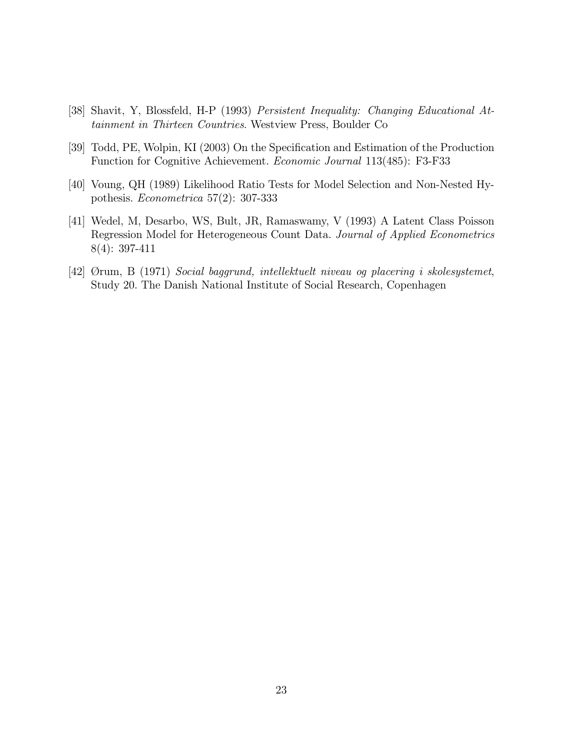- [38] Shavit, Y, Blossfeld, H-P (1993) Persistent Inequality: Changing Educational Attainment in Thirteen Countries. Westview Press, Boulder Co
- [39] Todd, PE, Wolpin, KI (2003) On the Specification and Estimation of the Production Function for Cognitive Achievement. Economic Journal 113(485): F3-F33
- [40] Voung, QH (1989) Likelihood Ratio Tests for Model Selection and Non-Nested Hypothesis. Econometrica 57(2): 307-333
- [41] Wedel, M, Desarbo, WS, Bult, JR, Ramaswamy, V (1993) A Latent Class Poisson Regression Model for Heterogeneous Count Data. Journal of Applied Econometrics 8(4): 397-411
- [42] Ørum, B (1971) Social baggrund, intellektuelt niveau og placering i skolesystemet, Study 20. The Danish National Institute of Social Research, Copenhagen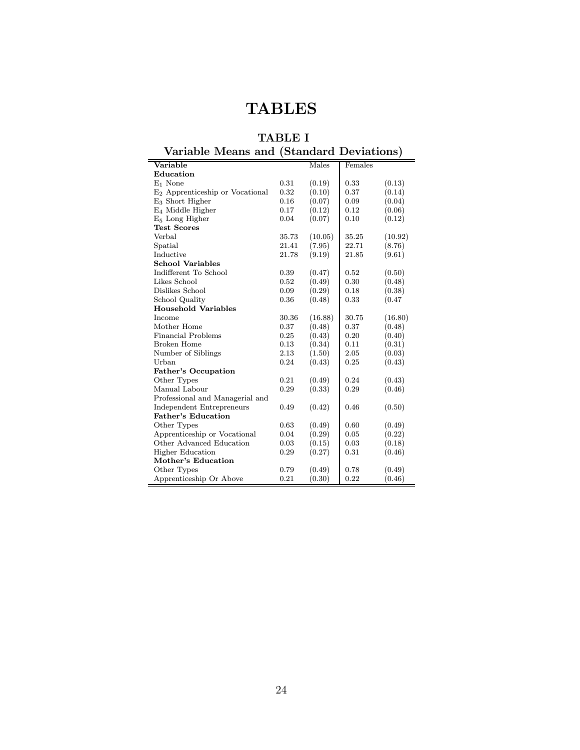# **TABLES**

### TABLE I Variable Means and (Standard Deviations)

| variable iviealis allu             |       |         | (Dialiuaru Deviations) |         |
|------------------------------------|-------|---------|------------------------|---------|
| Variable                           |       | Males   | Females                |         |
| Education                          |       |         |                        |         |
| $E_1$ None                         | 0.31  | (0.19)  | 0.33                   | (0.13)  |
| $E_2$ Apprenticeship or Vocational | 0.32  | (0.10)  | 0.37                   | (0.14)  |
| $E_3$ Short Higher                 | 0.16  | (0.07)  | 0.09                   | (0.04)  |
| E <sub>4</sub> Middle Higher       | 0.17  | (0.12)  | 0.12                   | (0.06)  |
| $E5$ Long Higher                   | 0.04  | (0.07)  | 0.10                   | (0.12)  |
| <b>Test Scores</b>                 |       |         |                        |         |
| Verbal                             | 35.73 | (10.05) | 35.25                  | (10.92) |
| Spatial                            | 21.41 | (7.95)  | 22.71                  | (8.76)  |
| Inductive                          | 21.78 | (9.19)  | 21.85                  | (9.61)  |
| <b>School Variables</b>            |       |         |                        |         |
| Indifferent To School              | 0.39  | (0.47)  | 0.52                   | (0.50)  |
| Likes School                       | 0.52  | (0.49)  | 0.30                   | (0.48)  |
| Dislikes School                    | 0.09  | (0.29)  | 0.18                   | (0.38)  |
| School Quality                     | 0.36  | (0.48)  | 0.33                   | (0.47)  |
| <b>Household Variables</b>         |       |         |                        |         |
| Income                             | 30.36 | (16.88) | 30.75                  | (16.80) |
| Mother Home                        | 0.37  | (0.48)  | 0.37                   | (0.48)  |
| <b>Financial Problems</b>          | 0.25  | (0.43)  | 0.20                   | (0.40)  |
| <b>Broken Home</b>                 | 0.13  | (0.34)  | 0.11                   | (0.31)  |
| Number of Siblings                 | 2.13  | (1.50)  | 2.05                   | (0.03)  |
| Urban                              | 0.24  | (0.43)  | 0.25                   | (0.43)  |
| <b>Father's Occupation</b>         |       |         |                        |         |
| Other Types                        | 0.21  | (0.49)  | 0.24                   | (0.43)  |
| Manual Labour                      | 0.29  | (0.33)  | 0.29                   | (0.46)  |
| Professional and Managerial and    |       |         |                        |         |
| Independent Entrepreneurs          | 0.49  | (0.42)  | 0.46                   | (0.50)  |
| <b>Father's Education</b>          |       |         |                        |         |
| Other Types                        | 0.63  | (0.49)  | 0.60                   | (0.49)  |
| Apprenticeship or Vocational       | 0.04  | (0.29)  | 0.05                   | (0.22)  |
| Other Advanced Education           | 0.03  | (0.15)  | 0.03                   | (0.18)  |
| <b>Higher Education</b>            | 0.29  | (0.27)  | 0.31                   | (0.46)  |
| Mother's Education                 |       |         |                        |         |
| Other Types                        | 0.79  | (0.49)  | 0.78                   | (0.49)  |
| Apprenticeship Or Above            | 0.21  | (0.30)  | 0.22                   | (0.46)  |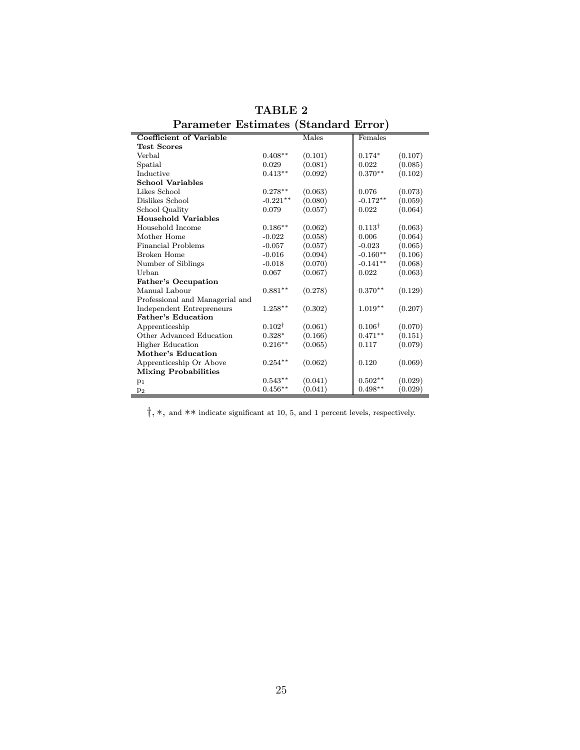| т атанисст тэспиассэ            |                   | ovanuaru Liror |                   |         |
|---------------------------------|-------------------|----------------|-------------------|---------|
| Coefficient of Variable         |                   | Males          | Females           |         |
| <b>Test Scores</b>              |                   |                |                   |         |
| Verbal                          | $0.408**$         | (0.101)        | $0.174*$          | (0.107) |
| Spatial                         | 0.029             | (0.081)        | 0.022             | (0.085) |
| Inductive                       | $0.413**$         | (0.092)        | $0.370**$         | (0.102) |
| <b>School Variables</b>         |                   |                |                   |         |
| Likes School                    | $0.278**$         | (0.063)        | 0.076             | (0.073) |
| Dislikes School                 | $-0.221**$        | (0.080)        | $-0.172**$        | (0.059) |
| School Quality                  | 0.079             | (0.057)        | 0.022             | (0.064) |
| <b>Household Variables</b>      |                   |                |                   |         |
| Household Income                | $0.186**$         | (0.062)        | $0.113^{\dagger}$ | (0.063) |
| Mother Home                     | $-0.022$          | (0.058)        | 0.006             | (0.064) |
| Financial Problems              | $-0.057$          | (0.057)        | $-0.023$          | (0.065) |
| Broken Home                     | $-0.016$          | (0.094)        | $-0.160**$        | (0.106) |
| Number of Siblings              | $-0.018$          | (0.070)        | $-0.141**$        | (0.068) |
| Urban                           | 0.067             | (0.067)        | 0.022             | (0.063) |
| Father's Occupation             |                   |                |                   |         |
| Manual Labour                   | $0.881**$         | (0.278)        | $0.370**$         | (0.129) |
| Professional and Managerial and |                   |                |                   |         |
| Independent Entrepreneurs       | $1.258**$         | (0.302)        | $1.019**$         | (0.207) |
| Father's Education              |                   |                |                   |         |
| Apprenticeship                  | $0.102^{\dagger}$ | (0.061)        | $0.106^{\dagger}$ | (0.070) |
| Other Advanced Education        | $0.328*$          | (0.166)        | $0.471**$         | (0.151) |
| <b>Higher Education</b>         | $0.216**$         | (0.065)        | 0.117             | (0.079) |
| Mother's Education              |                   |                |                   |         |
| Apprenticeship Or Above         | $0.254**$         | (0.062)        | 0.120             | (0.069) |
| <b>Mixing Probabilities</b>     |                   |                |                   |         |
| $p_1$                           | $0.543**$         | (0.041)        | $0.502**$         | (0.029) |
| p <sub>2</sub>                  | $0.456**$         | (0.041)        | $0.498**$         | (0.029) |

TABLE 2 Parameter Estimates (Standard Error)

 $\dagger, \ast,$  and  $\ast\ast$  indicate significant at 10, 5, and 1 percent levels, respectively.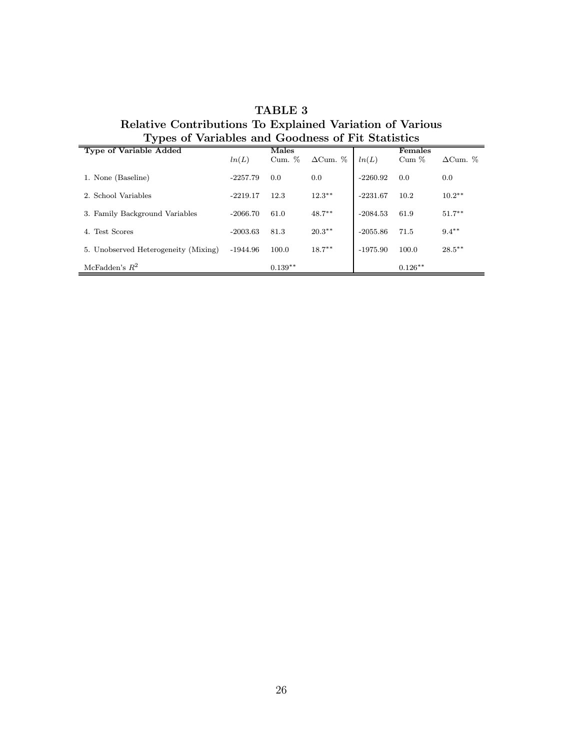| Types of Variables and Goodness of Fit Statistics |            |           |                 |            |           |                 |
|---------------------------------------------------|------------|-----------|-----------------|------------|-----------|-----------------|
| <b>Type of Variable Added</b>                     |            | Males     |                 |            | Females   |                 |
|                                                   | ln(L)      | Cum. $%$  | $\Delta$ Cum. % | ln(L)      | $Cum \%$  | $\Delta$ Cum. % |
| 1. None (Baseline)                                | $-2257.79$ | 0.0       | 0.0             | $-2260.92$ | 0.0       | 0.0             |
| 2. School Variables                               | $-2219.17$ | 12.3      | $12.3**$        | $-2231.67$ | 10.2      | $10.2**$        |
| 3. Family Background Variables                    | $-2066.70$ | 61.0      | $48.7***$       | $-2084.53$ | 61.9      | $51.7***$       |
| 4. Test Scores                                    | $-2003.63$ | 81.3      | $20.3**$        | $-2055.86$ | 71.5      | $9.4***$        |
| 5. Unobserved Heterogeneity (Mixing)              | $-1944.96$ | 100.0     | $18.7***$       | $-1975.90$ | 100.0     | $28.5***$       |
| McFadden's $R^2$                                  |            | $0.139**$ |                 |            | $0.126**$ |                 |

# TABLE 3 Relative Contributions To Explained Variation of Various